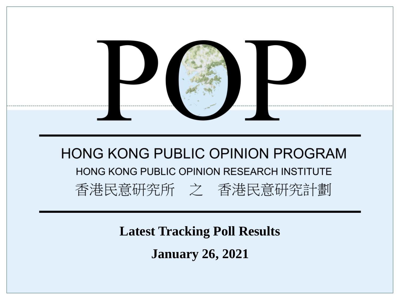

**Latest Tracking Poll Results January 26, 2021**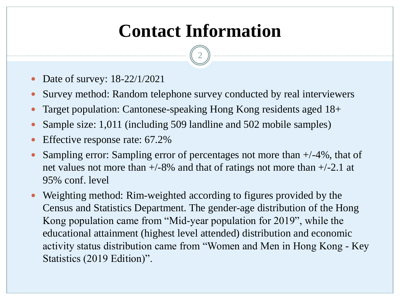# **Contact Information**

- Date of survey: 18-22/1/2021
- Survey method: Random telephone survey conducted by real interviewers
- Target population: Cantonese-speaking Hong Kong residents aged 18+
- Sample size: 1,011 (including 509 landline and 502 mobile samples)
- Effective response rate: 67.2%
- Sampling error: Sampling error of percentages not more than +/-4%, that of net values not more than  $+/-8\%$  and that of ratings not more than  $+/-2.1$  at 95% conf. level
- Weighting method: Rim-weighted according to figures provided by the Census and Statistics Department. The gender-age distribution of the Hong Kong population came from "Mid-year population for 2019", while the educational attainment (highest level attended) distribution and economic activity status distribution came from "Women and Men in Hong Kong - Key Statistics (2019 Edition)".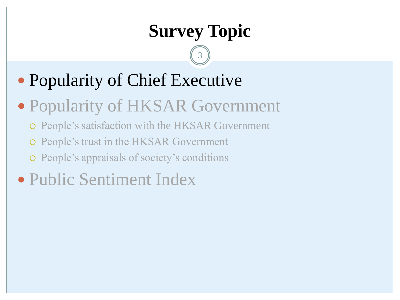# **Survey Topic**

- Popularity of Chief Executive
- Popularity of HKSAR Government
	- People's satisfaction with the HKSAR Government
	- People's trust in the HKSAR Government
	- People's appraisals of society's conditions
- Public Sentiment Index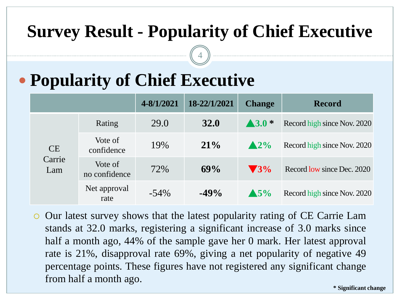### **Survey Result - Popularity of Chief Executive**

4

# **Popularity of Chief Executive**

|               |                          | 4-8/1/2021 | 18-22/1/2021 | <b>Change</b>            | <b>Record</b>               |
|---------------|--------------------------|------------|--------------|--------------------------|-----------------------------|
|               | Rating                   | 29.0       | <b>32.0</b>  | $\blacktriangle$ 3.0 $*$ | Record high since Nov. 2020 |
| <b>CE</b>     | Vote of<br>confidence    | 19%        | $21\%$       | $\triangle 2\%$          | Record high since Nov. 2020 |
| Carrie<br>Lam | Vote of<br>no confidence | 72%        | 69%          | $\blacktriangledown$ 3%  | Record low since Dec. 2020  |
|               | Net approval<br>rate     | $-54\%$    | $-49%$       | $\triangle$ 5%           | Record high since Nov. 2020 |

 Our latest survey shows that the latest popularity rating of CE Carrie Lam stands at 32.0 marks, registering a significant increase of 3.0 marks since half a month ago, 44% of the sample gave her 0 mark. Her latest approval rate is 21%, disapproval rate 69%, giving a net popularity of negative 49 percentage points. These figures have not registered any significant change from half a month ago.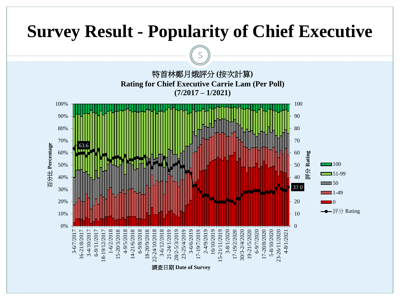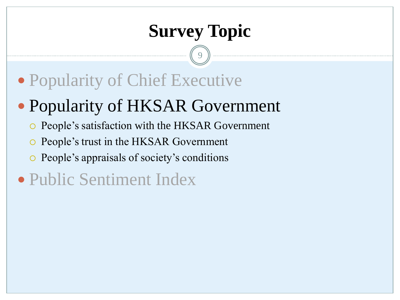# **Survey Topic**

- Popularity of Chief Executive
- Popularity of HKSAR Government
	- People's satisfaction with the HKSAR Government
	- People's trust in the HKSAR Government
	- People's appraisals of society's conditions
- Public Sentiment Index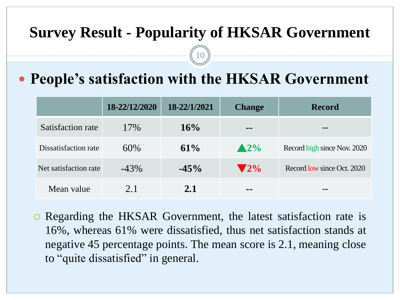#### **Survey Result - Popularity of HKSAR Government**

10

### **People's satisfaction with the HKSAR Government**

|                       | 18-22/12/2020 | 18-22/1/2021 | <b>Change</b>            | <b>Record</b>               |
|-----------------------|---------------|--------------|--------------------------|-----------------------------|
| Satisfaction rate     | 17%           | 16%          | --                       | --                          |
| Dissatisfaction rate  | 60\%          | 61%          | $\triangle 2\%$          | Record high since Nov. 2020 |
| Net satisfaction rate | $-43%$        | $-45\%$      | $\blacktriangledown 2\%$ | Record low since Oct. 2020  |
| Mean value            | 2.1           | 2.1          | --                       | --                          |

 Regarding the HKSAR Government, the latest satisfaction rate is 16%, whereas 61% were dissatisfied, thus net satisfaction stands at negative 45 percentage points. The mean score is 2.1, meaning close to "quite dissatisfied" in general.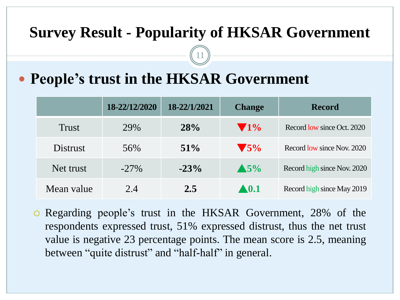#### **Survey Result - Popularity of HKSAR Government**

11

### **People's trust in the HKSAR Government**

|                 | 18-22/12/2020 | 18-22/1/2021 | <b>Change</b>           | <b>Record</b>               |
|-----------------|---------------|--------------|-------------------------|-----------------------------|
| <b>Trust</b>    | 29%           | 28%          | $\sqrt{1\%}$            | Record low since Oct. 2020  |
| <b>Distrust</b> | 56%           | $51\%$       | $\blacktriangledown$ 5% | Record low since Nov. 2020  |
| Net trust       | $-27\%$       | $-23%$       | $\triangle$ 5%          | Record high since Nov. 2020 |
| Mean value      | 2.4           | 2.5          | $\blacktriangle 0.1$    | Record high since May 2019  |

 Regarding people's trust in the HKSAR Government, 28% of the respondents expressed trust, 51% expressed distrust, thus the net trust value is negative 23 percentage points. The mean score is 2.5, meaning between "quite distrust" and "half-half" in general.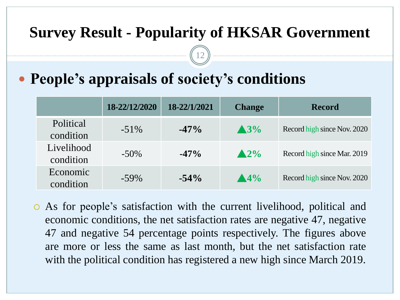#### **Survey Result - Popularity of HKSAR Government**

12

### **People's appraisals of society's conditions**

|                         | 18-22/12/2020 | 18-22/1/2021 | <b>Change</b>        | <b>Record</b>               |
|-------------------------|---------------|--------------|----------------------|-----------------------------|
| Political<br>condition  | $-51\%$       | $-47\%$      | $\triangle 3\%$      | Record high since Nov. 2020 |
| Livelihood<br>condition | $-50\%$       | $-47\%$      | $\triangle 2\%$      | Record high since Mar. 2019 |
| Economic<br>condition   | $-59\%$       | $-54\%$      | $\blacktriangle 4\%$ | Record high since Nov. 2020 |

 As for people's satisfaction with the current livelihood, political and economic conditions, the net satisfaction rates are negative 47, negative 47 and negative 54 percentage points respectively. The figures above are more or less the same as last month, but the net satisfaction rate with the political condition has registered a new high since March 2019.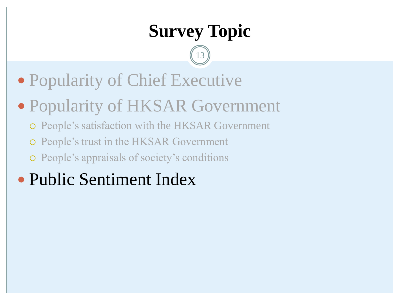# **Survey Topic**

- Popularity of Chief Executive
- Popularity of HKSAR Government
	- People's satisfaction with the HKSAR Government
	- People's trust in the HKSAR Government
	- People's appraisals of society's conditions
- Public Sentiment Index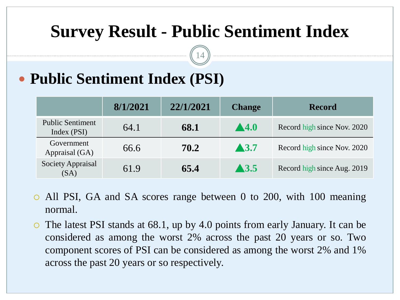### **Survey Result - Public Sentiment Index**

14

### **Public Sentiment Index (PSI)**

|                                        | 8/1/2021 | 22/1/2021 | <b>Change</b>        | <b>Record</b>               |
|----------------------------------------|----------|-----------|----------------------|-----------------------------|
| <b>Public Sentiment</b><br>Index (PSI) | 64.1     | 68.1      | $\blacktriangle$ 4.0 | Record high since Nov. 2020 |
| Government<br>Appraisal (GA)           | 66.6     | 70.2      | $\blacktriangle$ 3.7 | Record high since Nov. 2020 |
| <b>Society Appraisal</b><br>(SA)       | 61.9     | 65.4      | $\blacktriangle$ 3.5 | Record high since Aug. 2019 |

- All PSI, GA and SA scores range between 0 to 200, with 100 meaning normal.
- The latest PSI stands at 68.1, up by 4.0 points from early January. It can be considered as among the worst 2% across the past 20 years or so. Two component scores of PSI can be considered as among the worst 2% and 1% across the past 20 years or so respectively.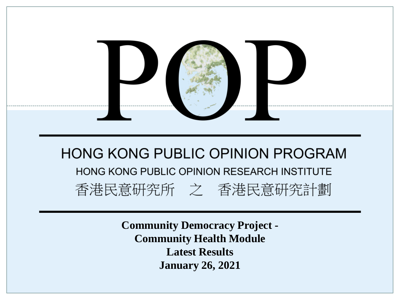

**Community Democracy Project - Community Health Module Latest Results January 26, 2021**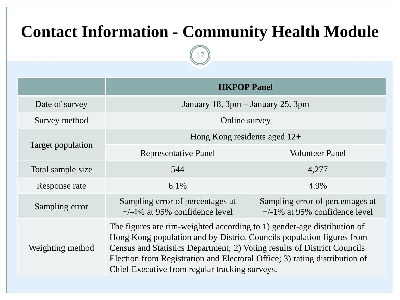### **Contact Information - Community Health Module**

|                                        | <b>HKPOP Panel</b>                                                                                                                                                                                                                                                                                                                                           |                                                                      |  |  |  |  |  |
|----------------------------------------|--------------------------------------------------------------------------------------------------------------------------------------------------------------------------------------------------------------------------------------------------------------------------------------------------------------------------------------------------------------|----------------------------------------------------------------------|--|--|--|--|--|
| Date of survey                         | January 18, 3pm – January 25, 3pm                                                                                                                                                                                                                                                                                                                            |                                                                      |  |  |  |  |  |
| Survey method                          | Online survey                                                                                                                                                                                                                                                                                                                                                |                                                                      |  |  |  |  |  |
|                                        | Hong Kong residents aged $12+$                                                                                                                                                                                                                                                                                                                               |                                                                      |  |  |  |  |  |
| Target population<br>Total sample size | <b>Representative Panel</b>                                                                                                                                                                                                                                                                                                                                  | <b>Volunteer Panel</b>                                               |  |  |  |  |  |
|                                        | 544                                                                                                                                                                                                                                                                                                                                                          | 4,277                                                                |  |  |  |  |  |
| Response rate                          | 6.1%                                                                                                                                                                                                                                                                                                                                                         | 4.9%                                                                 |  |  |  |  |  |
| Sampling error                         | Sampling error of percentages at<br>$+/-4\%$ at 95% confidence level                                                                                                                                                                                                                                                                                         | Sampling error of percentages at<br>$+/-1\%$ at 95% confidence level |  |  |  |  |  |
| Weighting method                       | The figures are rim-weighted according to 1) gender-age distribution of<br>Hong Kong population and by District Councils population figures from<br>Census and Statistics Department; 2) Voting results of District Councils<br>Election from Registration and Electoral Office; 3) rating distribution of<br>Chief Executive from regular tracking surveys. |                                                                      |  |  |  |  |  |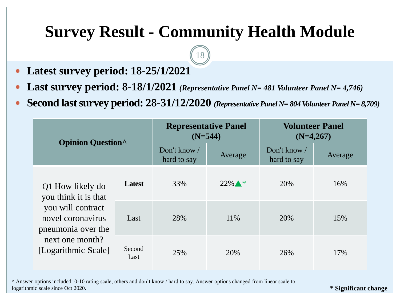### **Survey Result - Community Health Module**

18

- **Latest survey period: 18-25/1/2021**
- **Last survey period: 8-18/1/2021** *(Representative Panel N= 481 Volunteer Panel N= 4,746)*
- **Second last survey period: 28-31/12/2020** (Representative Panel N= 804 Volunteer Panel N= 8,709)

| <b>Opinion Question</b>                                      |                | <b>Representative Panel</b><br>$(N=544)$ |                           | <b>Volunteer Panel</b><br>$(N=4,267)$ |         |  |  |
|--------------------------------------------------------------|----------------|------------------------------------------|---------------------------|---------------------------------------|---------|--|--|
|                                                              |                | Don't know $/$<br>hard to say            | Average                   | Don't know /<br>hard to say           | Average |  |  |
| Q1 How likely do<br>you think it is that                     | <b>Latest</b>  | 33%                                      | $22\%$ $\blacktriangle$ * | 20%                                   | 16%     |  |  |
| you will contract<br>novel coronavirus<br>pneumonia over the | Last           | 28%                                      | 11%                       | 20%                                   | 15%     |  |  |
| next one month?<br>[Logarithmic Scale]                       | Second<br>Last | 25%                                      | 20%                       | 26%                                   | 17%     |  |  |

^ Answer options included: 0-10 rating scale, others and don't know / hard to say. Answer options changed from linear scale to logarithmic scale since Oct 2020.

**\* Significant change**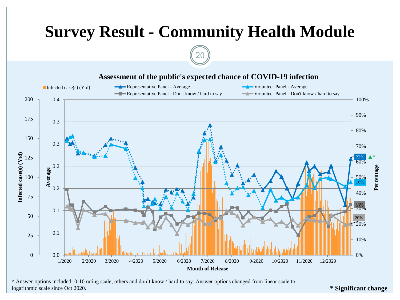

^ Answer options included: 0-10 rating scale, others and don't know / hard to say. Answer options changed from linear scale to logarithmic scale since Oct 2020.

**\* Significant change**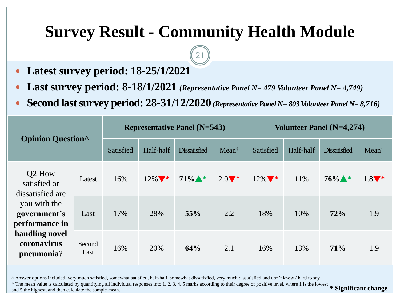### **Survey Result - Community Health Module**

21

- **Latest survey period: 18-25/1/2021**
- **Last survey period: 8-18/1/2021** *(Representative Panel N= 479 Volunteer Panel N= 4,749)*
- **Second last survey period: 28-31/12/2020** (Representative Panel N= 803 Volunteer Panel N= 8,716)

| <b>Opinion Question</b>                                          |                    |            |           | Representative Panel $(N=543)$ |                               | Volunteer Panel (N=4,274) |           |                     |                  |  |
|------------------------------------------------------------------|--------------------|------------|-----------|--------------------------------|-------------------------------|---------------------------|-----------|---------------------|------------------|--|
|                                                                  |                    |            | Half-half | <b>Dissatisfied</b>            | $Mean^{\dagger}$              | Satisfied                 | Half-half | <b>Dissatisfied</b> | $Mean^{\dagger}$ |  |
| Q <sub>2</sub> How<br>Latest<br>satisfied or<br>dissatisfied are | 16%                | $12\%$ $*$ | $71\%$ *  | $2.0$ *                        | $12\%$ $\blacktriangledown$ * | 11%                       | $76\%$ *  | $1.8$ *             |                  |  |
| you with the<br>government's<br>performance in                   | 28%<br>17%<br>Last |            | 55%       | 2.2                            | 18%                           | 10%                       | 72%       | 1.9                 |                  |  |
| handling novel<br>coronavirus<br>pneumonia?                      | Second<br>Last     | 16%        | 20%       | 64%                            | 2.1                           | 16%                       | 13%       | 71%                 | 1.9              |  |

^ Answer options included: very much satisfied, somewhat satisfied, half-half, somewhat dissatisfied, very much dissatisfied and don't know / hard to say

 $\dagger$  The mean value is calculated by quantifying all individual responses into 1, 2, 3, 4, 5 marks according to their degree of positive level, where 1 is the lowest  $\ast$  Significant change

and 5 the highest, and then calculate the sample mean.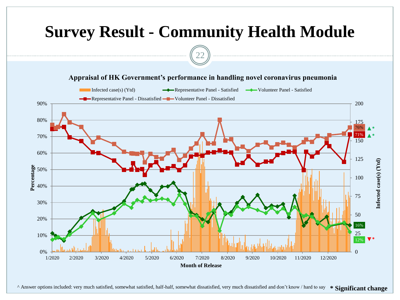

^ Answer options included: very much satisfied, somewhat satisfied, half-half, somewhat dissatisfied, very much dissatisfied and don't know / hard to say **\* Significant change**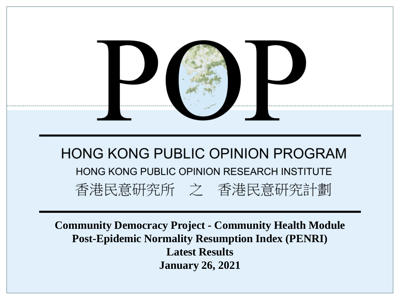

**Community Democracy Project - Community Health Module Post-Epidemic Normality Resumption Index (PENRI) Latest Results January 26, 2021**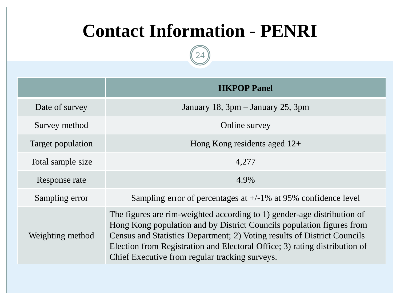## **Contact Information - PENRI**

|                   | <b>HKPOP Panel</b>                                                                                                                                                                                                                                                                                                                                           |
|-------------------|--------------------------------------------------------------------------------------------------------------------------------------------------------------------------------------------------------------------------------------------------------------------------------------------------------------------------------------------------------------|
| Date of survey    | January 18, $3pm - January 25$ , $3pm$                                                                                                                                                                                                                                                                                                                       |
| Survey method     | Online survey                                                                                                                                                                                                                                                                                                                                                |
| Target population | Hong Kong residents aged $12+$                                                                                                                                                                                                                                                                                                                               |
| Total sample size | 4,277                                                                                                                                                                                                                                                                                                                                                        |
| Response rate     | 4.9%                                                                                                                                                                                                                                                                                                                                                         |
| Sampling error    | Sampling error of percentages at $+/-1\%$ at 95% confidence level                                                                                                                                                                                                                                                                                            |
| Weighting method  | The figures are rim-weighted according to 1) gender-age distribution of<br>Hong Kong population and by District Councils population figures from<br>Census and Statistics Department; 2) Voting results of District Councils<br>Election from Registration and Electoral Office; 3) rating distribution of<br>Chief Executive from regular tracking surveys. |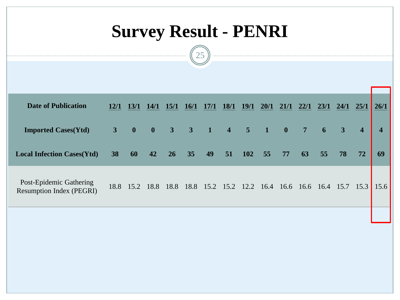# **Survey Result - PENRI**



| <b>Date of Publication</b>                                 | 12/1 | 13/1         | <b>14/1</b>  | <b>15/1</b>                             | <b>16/1</b> | <b>17/1</b>         | 18/1 | 19/1 | 20/1           | 21/1                    | 22/1           | 23/1 | 24/1                    | 25/1                    | 26/1                    |
|------------------------------------------------------------|------|--------------|--------------|-----------------------------------------|-------------|---------------------|------|------|----------------|-------------------------|----------------|------|-------------------------|-------------------------|-------------------------|
| <b>Imported Cases(Ytd)</b>                                 | 3    | $\mathbf{0}$ | $\mathbf{0}$ | $3 \quad 3$                             |             | $1 \quad 4 \quad 5$ |      |      | $\blacksquare$ | $\overline{\mathbf{0}}$ | 7 <sup>1</sup> | 6    | $\overline{\mathbf{3}}$ | $\overline{\mathbf{4}}$ | $\overline{\mathbf{4}}$ |
| <b>Local Infection Cases(Ytd)</b>                          | 38   | 60           | 42           | 26                                      | 35          | 49                  | 51   | 102  | 55             | 77                      | 63             | 55   | 78                      | 72                      | 69                      |
| Post-Epidemic Gathering<br><b>Resumption Index (PEGRI)</b> |      | 18.8 15.2    |              | 18.8 18.8 18.8 15.2 15.2 12.2 16.4 16.6 |             |                     |      |      |                |                         | 16.6 16.4      |      | $15.7$ $15.3$           |                         | 15.6                    |
|                                                            |      |              |              |                                         |             |                     |      |      |                |                         |                |      |                         |                         |                         |